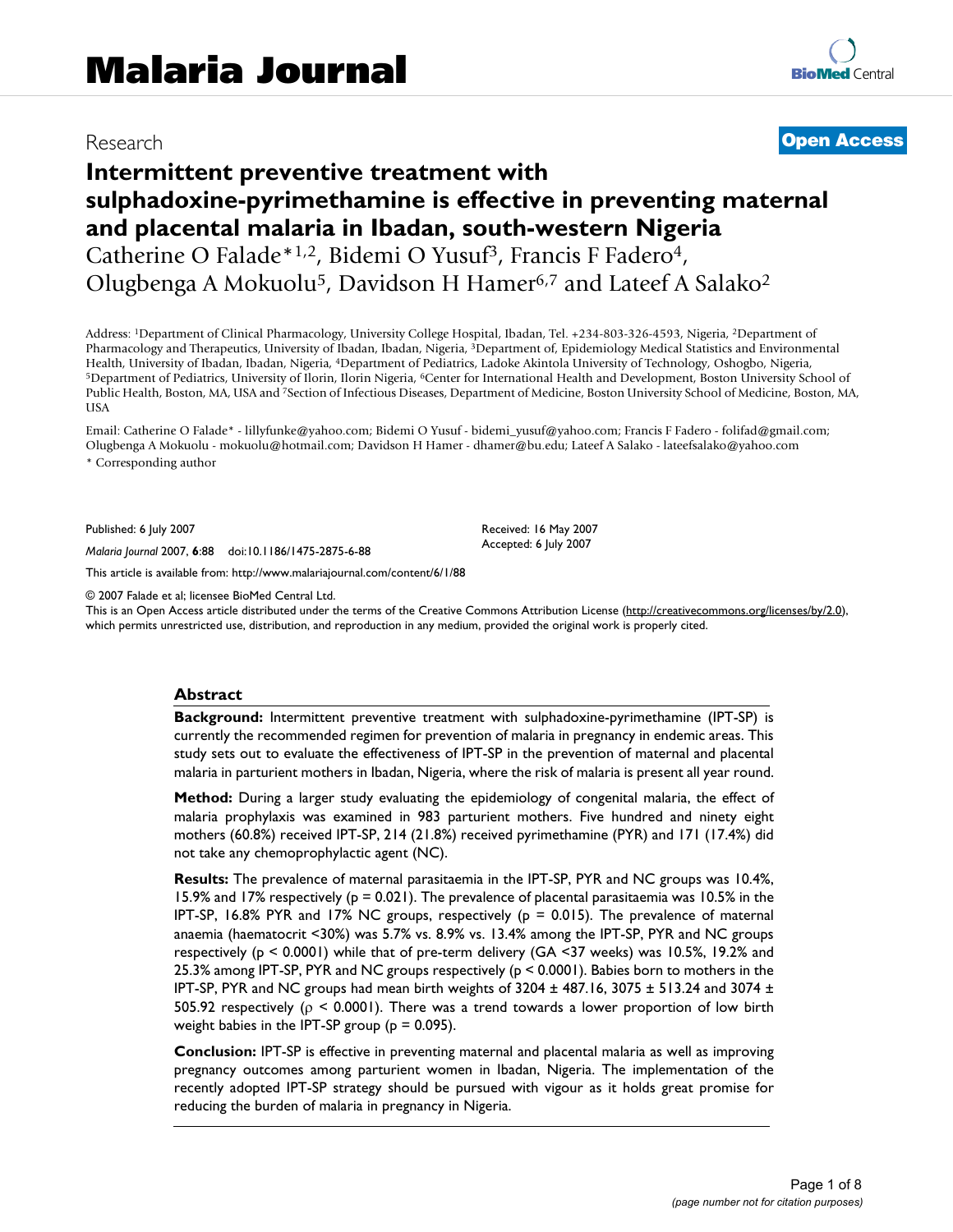# Research **[Open Access](http://www.biomedcentral.com/info/about/charter/)**

# **Intermittent preventive treatment with sulphadoxine-pyrimethamine is effective in preventing maternal and placental malaria in Ibadan, south-western Nigeria** Catherine O Falade\*1,2, Bidemi O Yusuf<sup>3</sup>, Francis F Fadero<sup>4</sup>, Olugbenga A Mokuolu<sup>5</sup>, Davidson H Hamer<sup>6,7</sup> and Lateef A Salako<sup>2</sup>

Address: 1Department of Clinical Pharmacology, University College Hospital, Ibadan, Tel. +234-803-326-4593, Nigeria, 2Department of Pharmacology and Therapeutics, University of Ibadan, Ibadan, Nigeria, 3Department of, Epidemiology Medical Statistics and Environmental Health, University of Ibadan, Ibadan, Nigeria, <sup>4</sup>Department of Pediatrics, Ladoke Akintola University of Technology, Oshogbo, Nigeria,<br><sup>5</sup>Department of Pediatrics, University of Ilorin, Ilorin Nigeria, <sup>6</sup>Center for Inter Public Health, Boston, MA, USA and 7Section of Infectious Diseases, Department of Medicine, Boston University School of Medicine, Boston, MA, USA

Email: Catherine O Falade\* - lillyfunke@yahoo.com; Bidemi O Yusuf - bidemi\_yusuf@yahoo.com; Francis F Fadero - folifad@gmail.com; Olugbenga A Mokuolu - mokuolu@hotmail.com; Davidson H Hamer - dhamer@bu.edu; Lateef A Salako - lateefsalako@yahoo.com \* Corresponding author

Published: 6 July 2007

*Malaria Journal* 2007, **6**:88 doi:10.1186/1475-2875-6-88

[This article is available from: http://www.malariajournal.com/content/6/1/88](http://www.malariajournal.com/content/6/1/88)

© 2007 Falade et al; licensee BioMed Central Ltd.

This is an Open Access article distributed under the terms of the Creative Commons Attribution License [\(http://creativecommons.org/licenses/by/2.0\)](http://creativecommons.org/licenses/by/2.0), which permits unrestricted use, distribution, and reproduction in any medium, provided the original work is properly cited.

Received: 16 May 2007 Accepted: 6 July 2007

#### **Abstract**

**Background:** Intermittent preventive treatment with sulphadoxine-pyrimethamine (IPT-SP) is currently the recommended regimen for prevention of malaria in pregnancy in endemic areas. This study sets out to evaluate the effectiveness of IPT-SP in the prevention of maternal and placental malaria in parturient mothers in Ibadan, Nigeria, where the risk of malaria is present all year round.

**Method:** During a larger study evaluating the epidemiology of congenital malaria, the effect of malaria prophylaxis was examined in 983 parturient mothers. Five hundred and ninety eight mothers (60.8%) received IPT-SP, 214 (21.8%) received pyrimethamine (PYR) and 171 (17.4%) did not take any chemoprophylactic agent (NC).

**Results:** The prevalence of maternal parasitaemia in the IPT-SP, PYR and NC groups was 10.4%, 15.9% and 17% respectively (p = 0.021). The prevalence of placental parasitaemia was 10.5% in the IPT-SP, 16.8% PYR and 17% NC groups, respectively ( $p = 0.015$ ). The prevalence of maternal anaemia (haematocrit <30%) was 5.7% vs. 8.9% vs. 13.4% among the IPT-SP, PYR and NC groups respectively (p < 0.0001) while that of pre-term delivery (GA <37 weeks) was 10.5%, 19.2% and 25.3% among IPT-SP, PYR and NC groups respectively (p < 0.0001). Babies born to mothers in the IPT-SP, PYR and NC groups had mean birth weights of 3204  $\pm$  487.16, 3075  $\pm$  513.24 and 3074  $\pm$ 505.92 respectively ( $ρ < 0.0001$ ). There was a trend towards a lower proportion of low birth weight babies in the IPT-SP group ( $p = 0.095$ ).

**Conclusion:** IPT-SP is effective in preventing maternal and placental malaria as well as improving pregnancy outcomes among parturient women in Ibadan, Nigeria. The implementation of the recently adopted IPT-SP strategy should be pursued with vigour as it holds great promise for reducing the burden of malaria in pregnancy in Nigeria.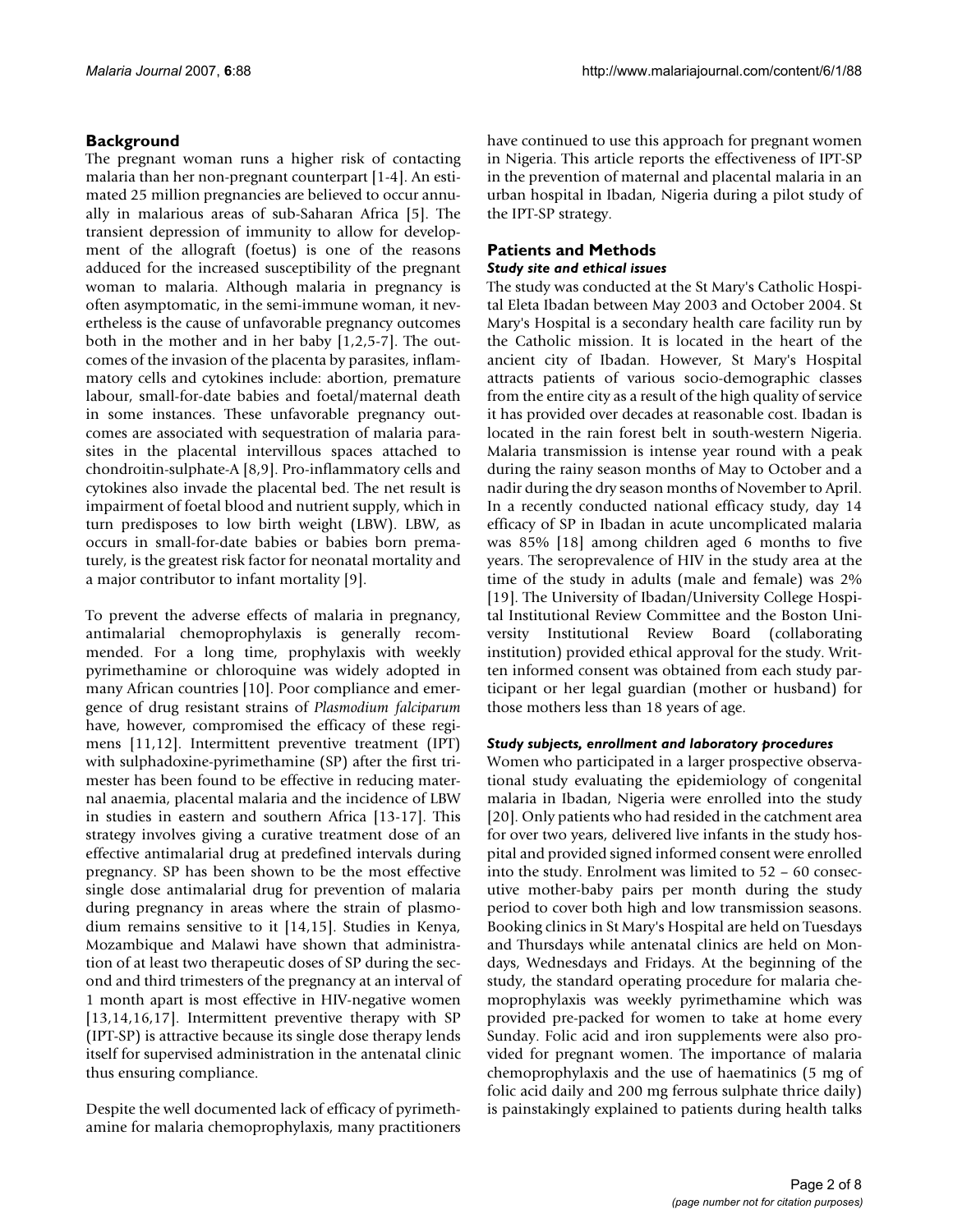## **Background**

The pregnant woman runs a higher risk of contacting malaria than her non-pregnant counterpart [1-4]. An estimated 25 million pregnancies are believed to occur annually in malarious areas of sub-Saharan Africa [5]. The transient depression of immunity to allow for development of the allograft (foetus) is one of the reasons adduced for the increased susceptibility of the pregnant woman to malaria. Although malaria in pregnancy is often asymptomatic, in the semi-immune woman, it nevertheless is the cause of unfavorable pregnancy outcomes both in the mother and in her baby [1,2,5-7]. The outcomes of the invasion of the placenta by parasites, inflammatory cells and cytokines include: abortion, premature labour, small-for-date babies and foetal/maternal death in some instances. These unfavorable pregnancy outcomes are associated with sequestration of malaria parasites in the placental intervillous spaces attached to chondroitin-sulphate-A [8,9]. Pro-inflammatory cells and cytokines also invade the placental bed. The net result is impairment of foetal blood and nutrient supply, which in turn predisposes to low birth weight (LBW). LBW, as occurs in small-for-date babies or babies born prematurely, is the greatest risk factor for neonatal mortality and a major contributor to infant mortality [9].

To prevent the adverse effects of malaria in pregnancy, antimalarial chemoprophylaxis is generally recommended. For a long time, prophylaxis with weekly pyrimethamine or chloroquine was widely adopted in many African countries [10]. Poor compliance and emergence of drug resistant strains of *Plasmodium falciparum* have, however, compromised the efficacy of these regimens [11,12]. Intermittent preventive treatment (IPT) with sulphadoxine-pyrimethamine (SP) after the first trimester has been found to be effective in reducing maternal anaemia, placental malaria and the incidence of LBW in studies in eastern and southern Africa [13-17]. This strategy involves giving a curative treatment dose of an effective antimalarial drug at predefined intervals during pregnancy. SP has been shown to be the most effective single dose antimalarial drug for prevention of malaria during pregnancy in areas where the strain of plasmodium remains sensitive to it [14,15]. Studies in Kenya, Mozambique and Malawi have shown that administration of at least two therapeutic doses of SP during the second and third trimesters of the pregnancy at an interval of 1 month apart is most effective in HIV-negative women [13,14,16,17]. Intermittent preventive therapy with SP (IPT-SP) is attractive because its single dose therapy lends itself for supervised administration in the antenatal clinic thus ensuring compliance.

Despite the well documented lack of efficacy of pyrimethamine for malaria chemoprophylaxis, many practitioners have continued to use this approach for pregnant women in Nigeria. This article reports the effectiveness of IPT-SP in the prevention of maternal and placental malaria in an urban hospital in Ibadan, Nigeria during a pilot study of the IPT-SP strategy.

## **Patients and Methods**

#### *Study site and ethical issues*

The study was conducted at the St Mary's Catholic Hospital Eleta Ibadan between May 2003 and October 2004. St Mary's Hospital is a secondary health care facility run by the Catholic mission. It is located in the heart of the ancient city of Ibadan. However, St Mary's Hospital attracts patients of various socio-demographic classes from the entire city as a result of the high quality of service it has provided over decades at reasonable cost. Ibadan is located in the rain forest belt in south-western Nigeria. Malaria transmission is intense year round with a peak during the rainy season months of May to October and a nadir during the dry season months of November to April. In a recently conducted national efficacy study, day 14 efficacy of SP in Ibadan in acute uncomplicated malaria was 85% [18] among children aged 6 months to five years. The seroprevalence of HIV in the study area at the time of the study in adults (male and female) was 2% [19]. The University of Ibadan/University College Hospital Institutional Review Committee and the Boston University Institutional Review Board (collaborating institution) provided ethical approval for the study. Written informed consent was obtained from each study participant or her legal guardian (mother or husband) for those mothers less than 18 years of age.

### *Study subjects, enrollment and laboratory procedures*

Women who participated in a larger prospective observational study evaluating the epidemiology of congenital malaria in Ibadan, Nigeria were enrolled into the study [20]. Only patients who had resided in the catchment area for over two years, delivered live infants in the study hospital and provided signed informed consent were enrolled into the study. Enrolment was limited to 52 – 60 consecutive mother-baby pairs per month during the study period to cover both high and low transmission seasons. Booking clinics in St Mary's Hospital are held on Tuesdays and Thursdays while antenatal clinics are held on Mondays, Wednesdays and Fridays. At the beginning of the study, the standard operating procedure for malaria chemoprophylaxis was weekly pyrimethamine which was provided pre-packed for women to take at home every Sunday. Folic acid and iron supplements were also provided for pregnant women. The importance of malaria chemoprophylaxis and the use of haematinics (5 mg of folic acid daily and 200 mg ferrous sulphate thrice daily) is painstakingly explained to patients during health talks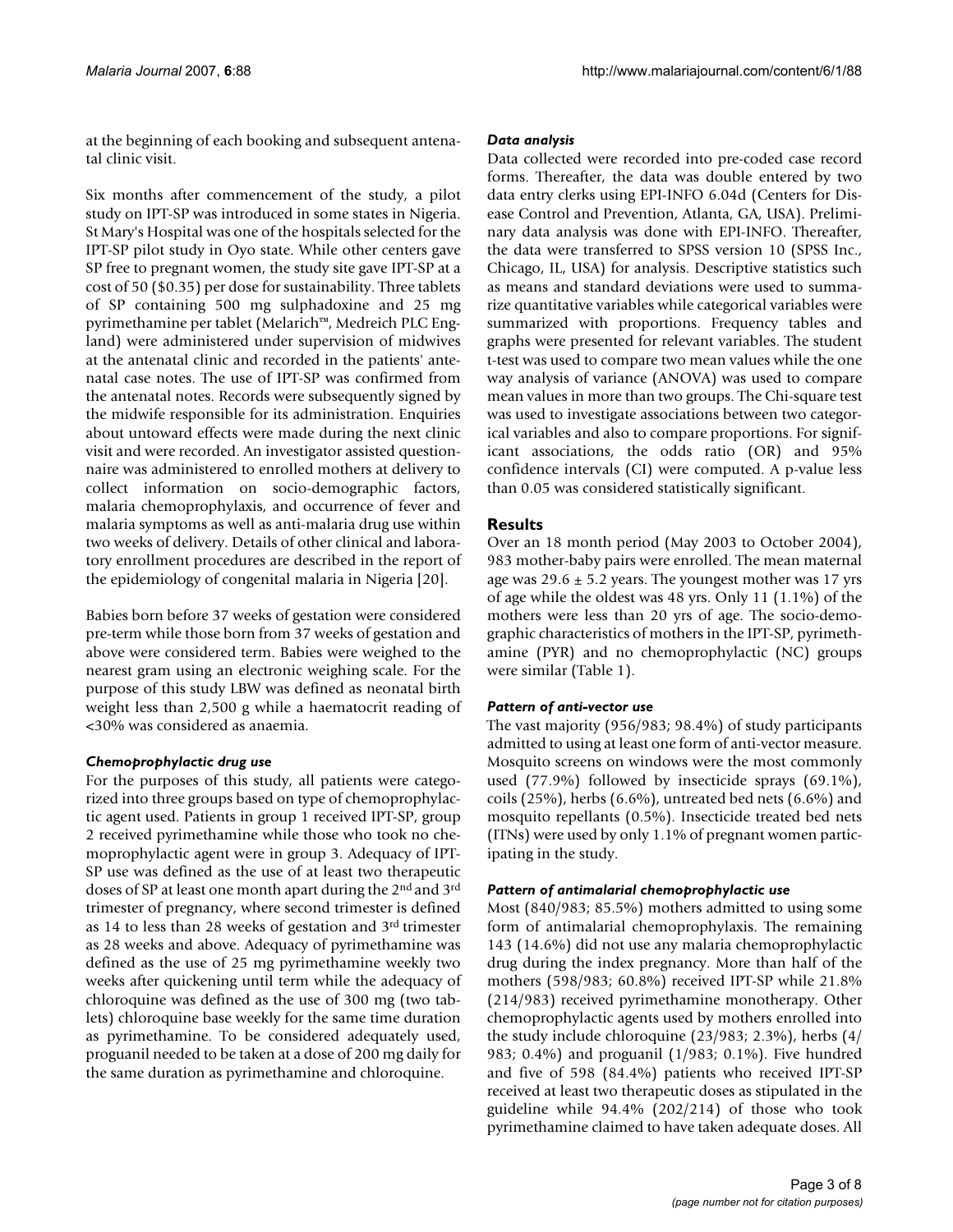at the beginning of each booking and subsequent antenatal clinic visit.

Six months after commencement of the study, a pilot study on IPT-SP was introduced in some states in Nigeria. St Mary's Hospital was one of the hospitals selected for the IPT-SP pilot study in Oyo state. While other centers gave SP free to pregnant women, the study site gave IPT-SP at a cost of 50 (\$0.35) per dose for sustainability. Three tablets of SP containing 500 mg sulphadoxine and 25 mg pyrimethamine per tablet (Melarich™, Medreich PLC England) were administered under supervision of midwives at the antenatal clinic and recorded in the patients' antenatal case notes. The use of IPT-SP was confirmed from the antenatal notes. Records were subsequently signed by the midwife responsible for its administration. Enquiries about untoward effects were made during the next clinic visit and were recorded. An investigator assisted questionnaire was administered to enrolled mothers at delivery to collect information on socio-demographic factors, malaria chemoprophylaxis, and occurrence of fever and malaria symptoms as well as anti-malaria drug use within two weeks of delivery. Details of other clinical and laboratory enrollment procedures are described in the report of the epidemiology of congenital malaria in Nigeria [20].

Babies born before 37 weeks of gestation were considered pre-term while those born from 37 weeks of gestation and above were considered term. Babies were weighed to the nearest gram using an electronic weighing scale. For the purpose of this study LBW was defined as neonatal birth weight less than 2,500 g while a haematocrit reading of <30% was considered as anaemia.

#### *Chemoprophylactic drug use*

For the purposes of this study, all patients were categorized into three groups based on type of chemoprophylactic agent used. Patients in group 1 received IPT-SP, group 2 received pyrimethamine while those who took no chemoprophylactic agent were in group 3. Adequacy of IPT-SP use was defined as the use of at least two therapeutic doses of SP at least one month apart during the 2nd and 3rd trimester of pregnancy, where second trimester is defined as 14 to less than 28 weeks of gestation and 3rd trimester as 28 weeks and above. Adequacy of pyrimethamine was defined as the use of 25 mg pyrimethamine weekly two weeks after quickening until term while the adequacy of chloroquine was defined as the use of 300 mg (two tablets) chloroquine base weekly for the same time duration as pyrimethamine. To be considered adequately used, proguanil needed to be taken at a dose of 200 mg daily for the same duration as pyrimethamine and chloroquine.

#### *Data analysis*

Data collected were recorded into pre-coded case record forms. Thereafter, the data was double entered by two data entry clerks using EPI-INFO 6.04d (Centers for Disease Control and Prevention, Atlanta, GA, USA). Preliminary data analysis was done with EPI-INFO. Thereafter, the data were transferred to SPSS version 10 (SPSS Inc., Chicago, IL, USA) for analysis. Descriptive statistics such as means and standard deviations were used to summarize quantitative variables while categorical variables were summarized with proportions. Frequency tables and graphs were presented for relevant variables. The student t-test was used to compare two mean values while the one way analysis of variance (ANOVA) was used to compare mean values in more than two groups. The Chi-square test was used to investigate associations between two categorical variables and also to compare proportions. For significant associations, the odds ratio (OR) and 95% confidence intervals (CI) were computed. A p-value less than 0.05 was considered statistically significant.

### **Results**

Over an 18 month period (May 2003 to October 2004), 983 mother-baby pairs were enrolled. The mean maternal age was  $29.6 \pm 5.2$  years. The youngest mother was 17 yrs of age while the oldest was 48 yrs. Only 11 (1.1%) of the mothers were less than 20 yrs of age. The socio-demographic characteristics of mothers in the IPT-SP, pyrimethamine (PYR) and no chemoprophylactic (NC) groups were similar (Table 1).

#### *Pattern of anti-vector use*

The vast majority (956/983; 98.4%) of study participants admitted to using at least one form of anti-vector measure. Mosquito screens on windows were the most commonly used (77.9%) followed by insecticide sprays (69.1%), coils  $(25%)$ , herbs  $(6.6%)$ , untreated bed nets  $(6.6%)$  and mosquito repellants (0.5%). Insecticide treated bed nets (ITNs) were used by only 1.1% of pregnant women participating in the study.

#### *Pattern of antimalarial chemoprophylactic use*

Most (840/983; 85.5%) mothers admitted to using some form of antimalarial chemoprophylaxis. The remaining 143 (14.6%) did not use any malaria chemoprophylactic drug during the index pregnancy. More than half of the mothers (598/983; 60.8%) received IPT-SP while 21.8% (214/983) received pyrimethamine monotherapy. Other chemoprophylactic agents used by mothers enrolled into the study include chloroquine (23/983; 2.3%), herbs (4/ 983; 0.4%) and proguanil (1/983; 0.1%). Five hundred and five of 598 (84.4%) patients who received IPT-SP received at least two therapeutic doses as stipulated in the guideline while 94.4% (202/214) of those who took pyrimethamine claimed to have taken adequate doses. All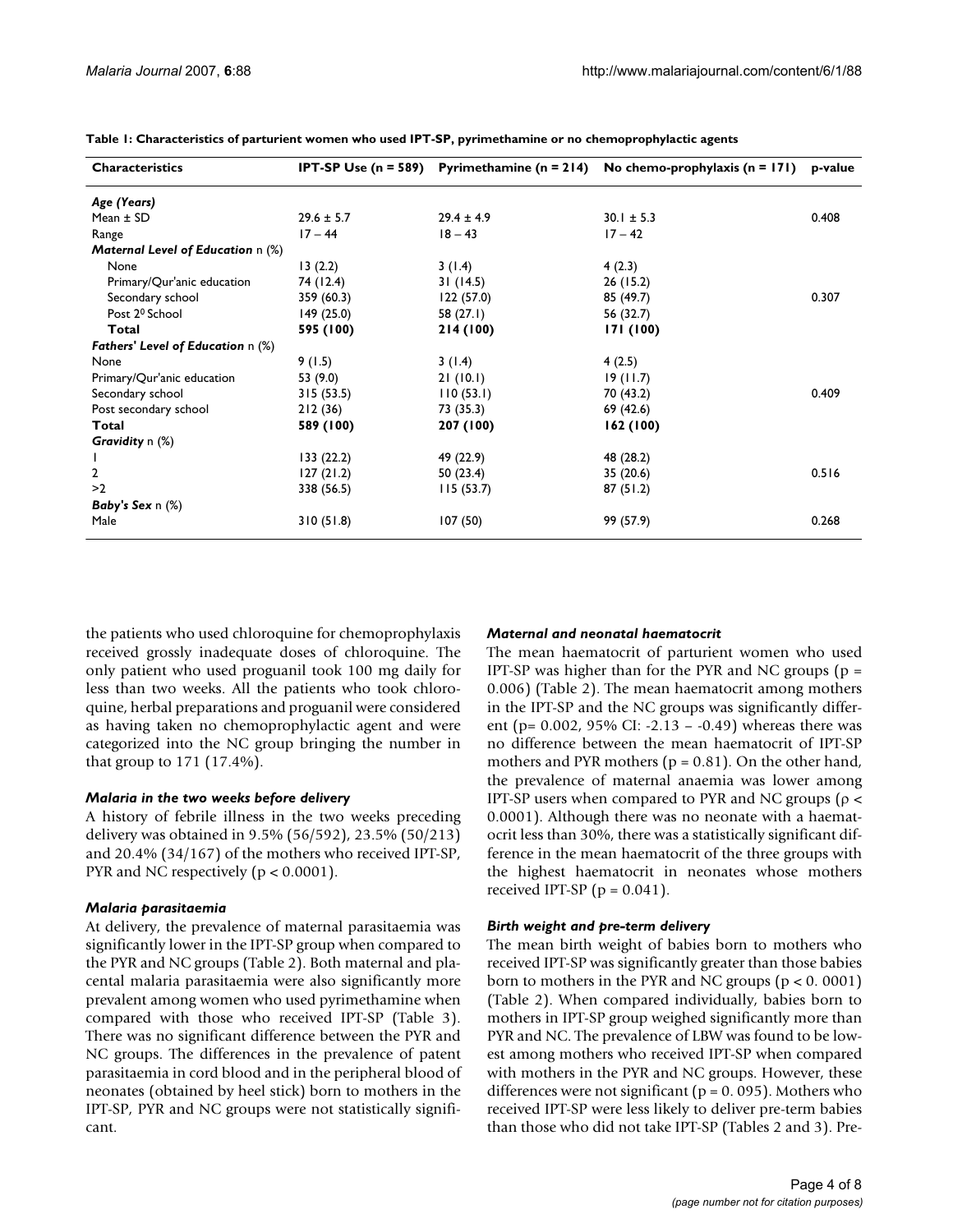| <b>Characteristics</b>                   |                |                | <b>IPT-SP Use (n = 589)</b> Pyrimethamine (n = 214) No chemo-prophylaxis (n = 171) p-value |       |
|------------------------------------------|----------------|----------------|--------------------------------------------------------------------------------------------|-------|
| Age (Years)                              |                |                |                                                                                            |       |
| Mean $\pm$ SD                            | $29.6 \pm 5.7$ | $29.4 \pm 4.9$ | $30.1 \pm 5.3$                                                                             | 0.408 |
| Range                                    | $17 - 44$      | $18 - 43$      | $17 - 42$                                                                                  |       |
| <b>Maternal Level of Education</b> n (%) |                |                |                                                                                            |       |
| None                                     | 13(2.2)        | 3(1.4)         | 4(2.3)                                                                                     |       |
| Primary/Qur'anic education               | 74 (12.4)      | 31(14.5)       | 26(15.2)                                                                                   |       |
| Secondary school                         | 359 (60.3)     | 122(57.0)      | 85 (49.7)                                                                                  | 0.307 |
| Post 2º School                           | 149(25.0)      | 58 (27.1)      | 56 (32.7)                                                                                  |       |
| <b>Total</b>                             | 595 (100)      | 214 (100)      | 171 (100)                                                                                  |       |
| <b>Fathers' Level of Education n (%)</b> |                |                |                                                                                            |       |
| None                                     | 9(1.5)         | 3(1.4)         | 4(2.5)                                                                                     |       |
| Primary/Qur'anic education               | 53 (9.0)       | 21(10.1)       | 19(11.7)                                                                                   |       |
| Secondary school                         | 315(53.5)      | 110(53.1)      | 70 (43.2)                                                                                  | 0.409 |
| Post secondary school                    | 212(36)        | 73 (35.3)      | 69 (42.6)                                                                                  |       |
| Total                                    | 589 (100)      | 207 (100)      | 162(100)                                                                                   |       |
| <b>Gravidity</b> n (%)                   |                |                |                                                                                            |       |
|                                          | 133(22.2)      | 49 (22.9)      | 48 (28.2)                                                                                  |       |
| 2                                        | 127(21.2)      | 50 (23.4)      | 35(20.6)                                                                                   | 0.516 |
| >2                                       | 338 (56.5)     | 115(53.7)      | 87(51.2)                                                                                   |       |
| <b>Baby's Sex</b> $n$ (%)                |                |                |                                                                                            |       |
| Male                                     | 310(51.8)      | 107(50)        | 99 (57.9)                                                                                  | 0.268 |

**Table 1: Characteristics of parturient women who used IPT-SP, pyrimethamine or no chemoprophylactic agents**

the patients who used chloroquine for chemoprophylaxis received grossly inadequate doses of chloroquine. The only patient who used proguanil took 100 mg daily for less than two weeks. All the patients who took chloroquine, herbal preparations and proguanil were considered as having taken no chemoprophylactic agent and were categorized into the NC group bringing the number in that group to 171 (17.4%).

#### *Malaria in the two weeks before delivery*

A history of febrile illness in the two weeks preceding delivery was obtained in 9.5% (56/592), 23.5% (50/213) and 20.4% (34/167) of the mothers who received IPT-SP, PYR and NC respectively ( $p < 0.0001$ ).

#### *Malaria parasitaemia*

At delivery, the prevalence of maternal parasitaemia was significantly lower in the IPT-SP group when compared to the PYR and NC groups (Table 2). Both maternal and placental malaria parasitaemia were also significantly more prevalent among women who used pyrimethamine when compared with those who received IPT-SP (Table 3). There was no significant difference between the PYR and NC groups. The differences in the prevalence of patent parasitaemia in cord blood and in the peripheral blood of neonates (obtained by heel stick) born to mothers in the IPT-SP, PYR and NC groups were not statistically significant.

#### *Maternal and neonatal haematocrit*

The mean haematocrit of parturient women who used IPT-SP was higher than for the PYR and NC groups ( $p =$ 0.006) (Table 2). The mean haematocrit among mothers in the IPT-SP and the NC groups was significantly different (p= 0.002, 95% CI: -2.13 – -0.49) whereas there was no difference between the mean haematocrit of IPT-SP mothers and PYR mothers ( $p = 0.81$ ). On the other hand, the prevalence of maternal anaemia was lower among IPT-SP users when compared to PYR and NC groups ( $\rho$  < 0.0001). Although there was no neonate with a haematocrit less than 30%, there was a statistically significant difference in the mean haematocrit of the three groups with the highest haematocrit in neonates whose mothers received IPT-SP ( $p = 0.041$ ).

#### *Birth weight and pre-term delivery*

The mean birth weight of babies born to mothers who received IPT-SP was significantly greater than those babies born to mothers in the PYR and NC groups ( $p < 0.0001$ ) (Table 2). When compared individually, babies born to mothers in IPT-SP group weighed significantly more than PYR and NC. The prevalence of LBW was found to be lowest among mothers who received IPT-SP when compared with mothers in the PYR and NC groups. However, these differences were not significant ( $p = 0.095$ ). Mothers who received IPT-SP were less likely to deliver pre-term babies than those who did not take IPT-SP (Tables 2 and 3). Pre-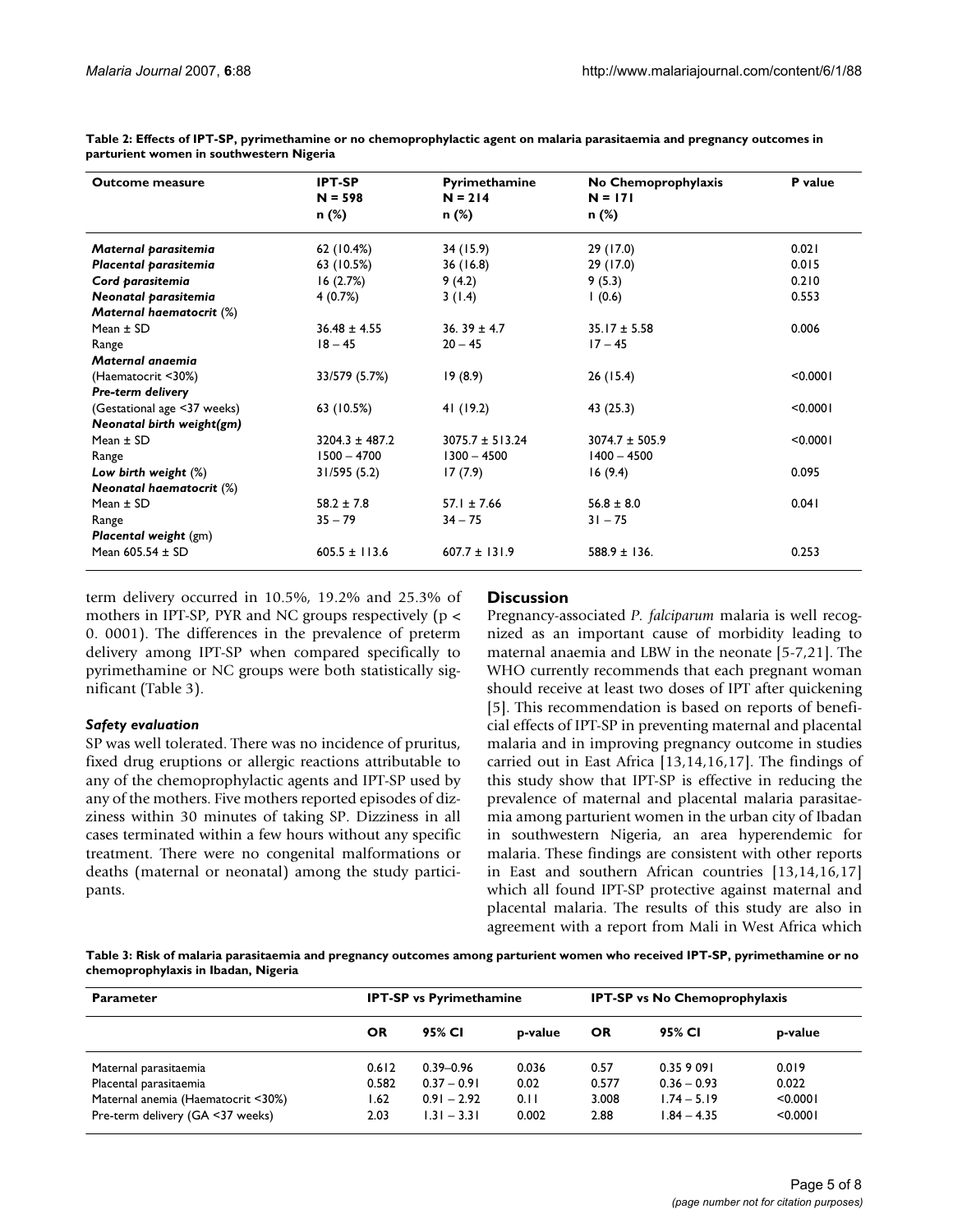| <b>Outcome measure</b>          | <b>IPT-SP</b>      | Pyrimethamine       | No Chemoprophylaxis | P value  |
|---------------------------------|--------------------|---------------------|---------------------|----------|
|                                 | $N = 598$          | $N = 214$           | $N = 171$           |          |
|                                 | n (%)              | n (%)               | n (%)               |          |
| Maternal parasitemia            | 62 (10.4%)         | 34 (15.9)           | 29 (17.0)           | 0.021    |
| Placental parasitemia           | 63 (10.5%)         | 36 (16.8)           | 29 (17.0)           | 0.015    |
| Cord parasitemia                | 16(2.7%)           | 9(4.2)              | 9(5.3)              | 0.210    |
| Neonatal parasitemia            | 4(0.7%)            | 3(1.4)              | 1(0.6)              | 0.553    |
| <b>Maternal haematocrit (%)</b> |                    |                     |                     |          |
| Mean $\pm$ SD                   | $36.48 \pm 4.55$   | $36.39 \pm 4.7$     | $35.17 \pm 5.58$    | 0.006    |
| Range                           | $18 - 45$          | $20 - 45$           | $17 - 45$           |          |
| Maternal angemia                |                    |                     |                     |          |
| (Haematocrit <30%)              | 33/579 (5.7%)      | 19(8.9)             | 26(15.4)            | < 0.0001 |
| Pre-term delivery               |                    |                     |                     |          |
| (Gestational age <37 weeks)     | 63 (10.5%)         | 41 (19.2)           | 43 (25.3)           | < 0.0001 |
| Neonatal birth weight(gm)       |                    |                     |                     |          |
| Mean $\pm$ SD                   | $3204.3 \pm 487.2$ | $3075.7 \pm 513.24$ | $3074.7 \pm 505.9$  | < 0.0001 |
| Range                           | $1500 - 4700$      | $1300 - 4500$       | $1400 - 4500$       |          |
| Low birth weight $(\%)$         | 31/595(5.2)        | 17(7.9)             | 16(9.4)             | 0.095    |
| <b>Neonatal haematocrit (%)</b> |                    |                     |                     |          |
| Mean $\pm$ SD                   | $58.2 \pm 7.8$     | $57.1 \pm 7.66$     | $56.8 \pm 8.0$      | 0.041    |
| Range                           | $35 - 79$          | $34 - 75$           | $31 - 75$           |          |
| <b>Placental weight (gm)</b>    |                    |                     |                     |          |
| Mean $605.54 \pm SD$            | $605.5 \pm 113.6$  | $607.7 \pm 131.9$   | $588.9 \pm 136.$    | 0.253    |
|                                 |                    |                     |                     |          |

**Table 2: Effects of IPT-SP, pyrimethamine or no chemoprophylactic agent on malaria parasitaemia and pregnancy outcomes in parturient women in southwestern Nigeria**

term delivery occurred in 10.5%, 19.2% and 25.3% of mothers in IPT-SP, PYR and NC groups respectively ( $p <$ 0. 0001). The differences in the prevalence of preterm delivery among IPT-SP when compared specifically to pyrimethamine or NC groups were both statistically significant (Table 3).

#### *Safety evaluation*

SP was well tolerated. There was no incidence of pruritus, fixed drug eruptions or allergic reactions attributable to any of the chemoprophylactic agents and IPT-SP used by any of the mothers. Five mothers reported episodes of dizziness within 30 minutes of taking SP. Dizziness in all cases terminated within a few hours without any specific treatment. There were no congenital malformations or deaths (maternal or neonatal) among the study participants.

#### **Discussion**

Pregnancy-associated *P. falciparum* malaria is well recognized as an important cause of morbidity leading to maternal anaemia and LBW in the neonate [5-7,21]. The WHO currently recommends that each pregnant woman should receive at least two doses of IPT after quickening [5]. This recommendation is based on reports of beneficial effects of IPT-SP in preventing maternal and placental malaria and in improving pregnancy outcome in studies carried out in East Africa [13,14,16,17]. The findings of this study show that IPT-SP is effective in reducing the prevalence of maternal and placental malaria parasitaemia among parturient women in the urban city of Ibadan in southwestern Nigeria, an area hyperendemic for malaria. These findings are consistent with other reports in East and southern African countries [13,14,16,17] which all found IPT-SP protective against maternal and placental malaria. The results of this study are also in agreement with a report from Mali in West Africa which

**Table 3: Risk of malaria parasitaemia and pregnancy outcomes among parturient women who received IPT-SP, pyrimethamine or no chemoprophylaxis in Ibadan, Nigeria**

| <b>Parameter</b>                   | <b>IPT-SP</b> vs Pyrimethamine |               |         | <b>IPT-SP vs No Chemoprophylaxis</b> |               |          |
|------------------------------------|--------------------------------|---------------|---------|--------------------------------------|---------------|----------|
|                                    | OR                             | 95% CI        | p-value | <b>OR</b>                            | 95% CI        | p-value  |
| Maternal parasitaemia              | 0.612                          | $0.39 - 0.96$ | 0.036   | 0.57                                 | 0.35 9 091    | 0.019    |
| Placental parasitaemia             | 0.582                          | $0.37 - 0.91$ | 0.02    | 0.577                                | $0.36 - 0.93$ | 0.022    |
| Maternal anemia (Haematocrit <30%) | 1.62                           | $0.91 - 2.92$ | 0.11    | 3.008                                | $1.74 - 5.19$ | < 0.0001 |
| Pre-term delivery (GA <37 weeks)   | 2.03                           | $1.31 - 3.31$ | 0.002   | 2.88                                 | $1.84 - 4.35$ | < 0.0001 |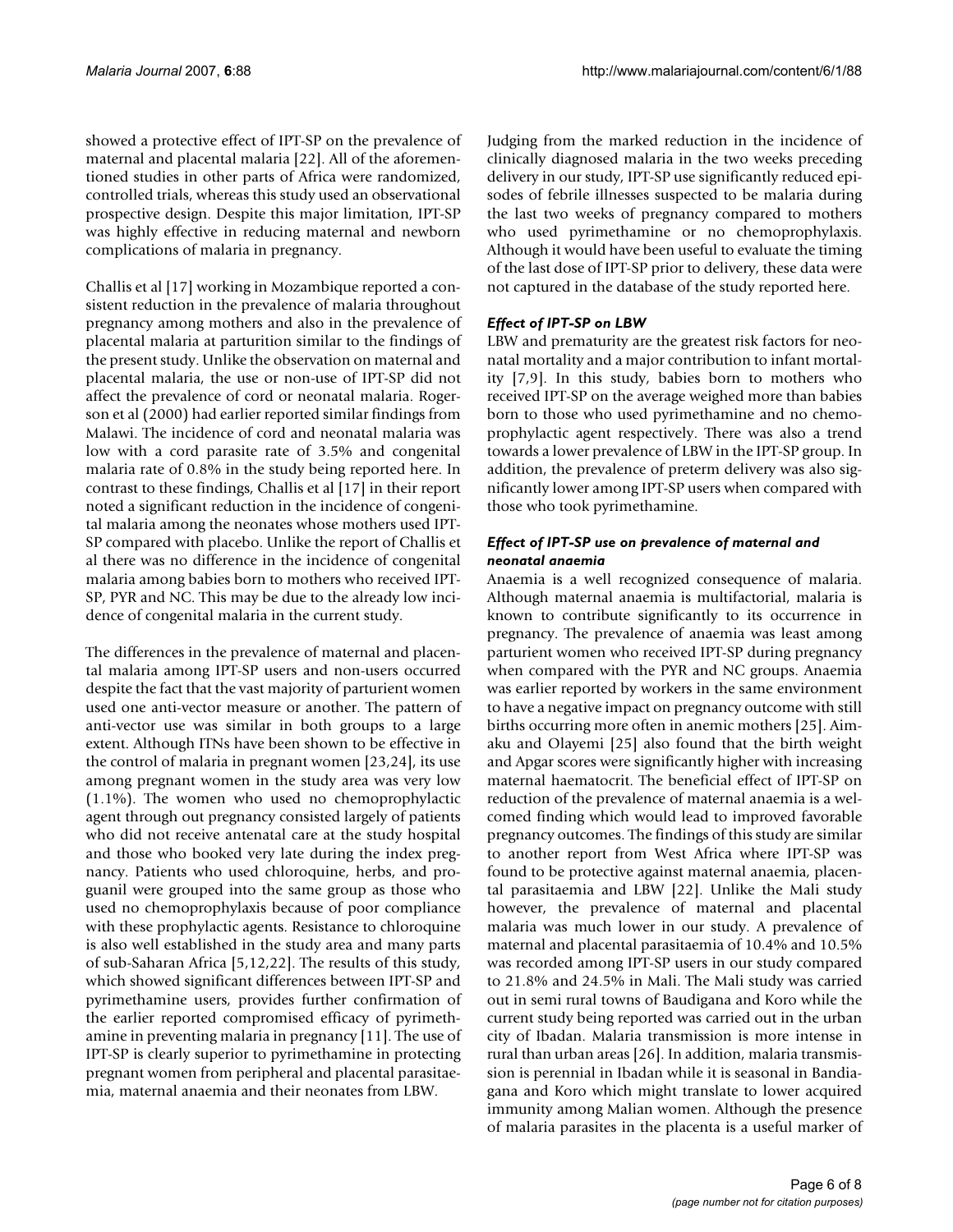showed a protective effect of IPT-SP on the prevalence of maternal and placental malaria [22]. All of the aforementioned studies in other parts of Africa were randomized, controlled trials, whereas this study used an observational prospective design. Despite this major limitation, IPT-SP was highly effective in reducing maternal and newborn complications of malaria in pregnancy.

Challis et al [17] working in Mozambique reported a consistent reduction in the prevalence of malaria throughout pregnancy among mothers and also in the prevalence of placental malaria at parturition similar to the findings of the present study. Unlike the observation on maternal and placental malaria, the use or non-use of IPT-SP did not affect the prevalence of cord or neonatal malaria. Rogerson et al (2000) had earlier reported similar findings from Malawi. The incidence of cord and neonatal malaria was low with a cord parasite rate of 3.5% and congenital malaria rate of 0.8% in the study being reported here. In contrast to these findings, Challis et al [17] in their report noted a significant reduction in the incidence of congenital malaria among the neonates whose mothers used IPT-SP compared with placebo. Unlike the report of Challis et al there was no difference in the incidence of congenital malaria among babies born to mothers who received IPT-SP, PYR and NC. This may be due to the already low incidence of congenital malaria in the current study.

The differences in the prevalence of maternal and placental malaria among IPT-SP users and non-users occurred despite the fact that the vast majority of parturient women used one anti-vector measure or another. The pattern of anti-vector use was similar in both groups to a large extent. Although ITNs have been shown to be effective in the control of malaria in pregnant women [23,24], its use among pregnant women in the study area was very low (1.1%). The women who used no chemoprophylactic agent through out pregnancy consisted largely of patients who did not receive antenatal care at the study hospital and those who booked very late during the index pregnancy. Patients who used chloroquine, herbs, and proguanil were grouped into the same group as those who used no chemoprophylaxis because of poor compliance with these prophylactic agents. Resistance to chloroquine is also well established in the study area and many parts of sub-Saharan Africa [5,12,22]. The results of this study, which showed significant differences between IPT-SP and pyrimethamine users, provides further confirmation of the earlier reported compromised efficacy of pyrimethamine in preventing malaria in pregnancy [11]. The use of IPT-SP is clearly superior to pyrimethamine in protecting pregnant women from peripheral and placental parasitaemia, maternal anaemia and their neonates from LBW.

Judging from the marked reduction in the incidence of clinically diagnosed malaria in the two weeks preceding delivery in our study, IPT-SP use significantly reduced episodes of febrile illnesses suspected to be malaria during the last two weeks of pregnancy compared to mothers who used pyrimethamine or no chemoprophylaxis. Although it would have been useful to evaluate the timing of the last dose of IPT-SP prior to delivery, these data were not captured in the database of the study reported here.

### *Effect of IPT-SP on LBW*

LBW and prematurity are the greatest risk factors for neonatal mortality and a major contribution to infant mortality [7,9]. In this study, babies born to mothers who received IPT-SP on the average weighed more than babies born to those who used pyrimethamine and no chemoprophylactic agent respectively. There was also a trend towards a lower prevalence of LBW in the IPT-SP group. In addition, the prevalence of preterm delivery was also significantly lower among IPT-SP users when compared with those who took pyrimethamine.

### *Effect of IPT-SP use on prevalence of maternal and neonatal anaemia*

Anaemia is a well recognized consequence of malaria. Although maternal anaemia is multifactorial, malaria is known to contribute significantly to its occurrence in pregnancy. The prevalence of anaemia was least among parturient women who received IPT-SP during pregnancy when compared with the PYR and NC groups. Anaemia was earlier reported by workers in the same environment to have a negative impact on pregnancy outcome with still births occurring more often in anemic mothers [25]. Aimaku and Olayemi [25] also found that the birth weight and Apgar scores were significantly higher with increasing maternal haematocrit. The beneficial effect of IPT-SP on reduction of the prevalence of maternal anaemia is a welcomed finding which would lead to improved favorable pregnancy outcomes. The findings of this study are similar to another report from West Africa where IPT-SP was found to be protective against maternal anaemia, placental parasitaemia and LBW [22]. Unlike the Mali study however, the prevalence of maternal and placental malaria was much lower in our study. A prevalence of maternal and placental parasitaemia of 10.4% and 10.5% was recorded among IPT-SP users in our study compared to 21.8% and 24.5% in Mali. The Mali study was carried out in semi rural towns of Baudigana and Koro while the current study being reported was carried out in the urban city of Ibadan. Malaria transmission is more intense in rural than urban areas [26]. In addition, malaria transmission is perennial in Ibadan while it is seasonal in Bandiagana and Koro which might translate to lower acquired immunity among Malian women. Although the presence of malaria parasites in the placenta is a useful marker of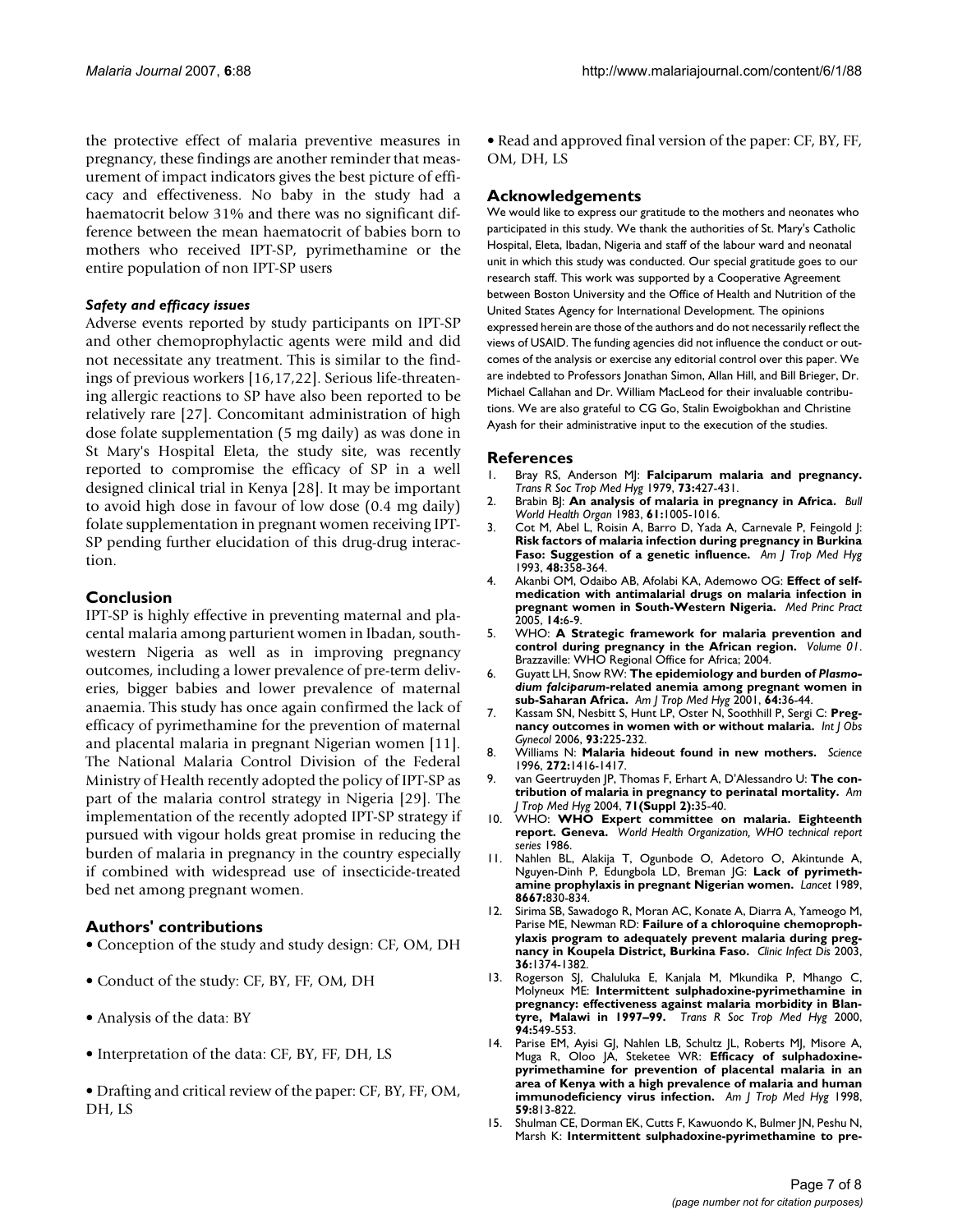the protective effect of malaria preventive measures in pregnancy, these findings are another reminder that measurement of impact indicators gives the best picture of efficacy and effectiveness. No baby in the study had a haematocrit below 31% and there was no significant difference between the mean haematocrit of babies born to mothers who received IPT-SP, pyrimethamine or the entire population of non IPT-SP users

#### *Safety and efficacy issues*

Adverse events reported by study participants on IPT-SP and other chemoprophylactic agents were mild and did not necessitate any treatment. This is similar to the findings of previous workers [16,17,22]. Serious life-threatening allergic reactions to SP have also been reported to be relatively rare [27]. Concomitant administration of high dose folate supplementation (5 mg daily) as was done in St Mary's Hospital Eleta, the study site, was recently reported to compromise the efficacy of SP in a well designed clinical trial in Kenya [28]. It may be important to avoid high dose in favour of low dose (0.4 mg daily) folate supplementation in pregnant women receiving IPT-SP pending further elucidation of this drug-drug interaction.

#### **Conclusion**

IPT-SP is highly effective in preventing maternal and placental malaria among parturient women in Ibadan, southwestern Nigeria as well as in improving pregnancy outcomes, including a lower prevalence of pre-term deliveries, bigger babies and lower prevalence of maternal anaemia. This study has once again confirmed the lack of efficacy of pyrimethamine for the prevention of maternal and placental malaria in pregnant Nigerian women [11]. The National Malaria Control Division of the Federal Ministry of Health recently adopted the policy of IPT-SP as part of the malaria control strategy in Nigeria [29]. The implementation of the recently adopted IPT-SP strategy if pursued with vigour holds great promise in reducing the burden of malaria in pregnancy in the country especially if combined with widespread use of insecticide-treated bed net among pregnant women.

#### **Authors' contributions**

- Conception of the study and study design: CF, OM, DH
- Conduct of the study: CF, BY, FF, OM, DH
- Analysis of the data: BY
- Interpretation of the data: CF, BY, FF, DH, LS
- Drafting and critical review of the paper: CF, BY, FF, OM, DH, LS

• Read and approved final version of the paper: CF, BY, FF, OM, DH, LS

#### **Acknowledgements**

We would like to express our gratitude to the mothers and neonates who participated in this study. We thank the authorities of St. Mary's Catholic Hospital, Eleta, Ibadan, Nigeria and staff of the labour ward and neonatal unit in which this study was conducted. Our special gratitude goes to our research staff. This work was supported by a Cooperative Agreement between Boston University and the Office of Health and Nutrition of the United States Agency for International Development. The opinions expressed herein are those of the authors and do not necessarily reflect the views of USAID. The funding agencies did not influence the conduct or outcomes of the analysis or exercise any editorial control over this paper. We are indebted to Professors Jonathan Simon, Allan Hill, and Bill Brieger, Dr. Michael Callahan and Dr. William MacLeod for their invaluable contributions. We are also grateful to CG Go, Stalin Ewoigbokhan and Christine Ayash for their administrative input to the execution of the studies.

#### **References**

- 1. Bray RS, Anderson MJ: **[Falciparum malaria and pregnancy.](http://www.ncbi.nlm.nih.gov/entrez/query.fcgi?cmd=Retrieve&db=PubMed&dopt=Abstract&list_uids=400205)** *Trans R Soc Trop Med Hyg* 1979, **73:**427-431.
- 2. Brabin BJ: **[An analysis of malaria in pregnancy in Africa.](http://www.ncbi.nlm.nih.gov/entrez/query.fcgi?cmd=Retrieve&db=PubMed&dopt=Abstract&list_uids=6370484)** *Bull World Health Organ* 1983, **61:**1005-1016.
- 3. Cot M, Abel L, Roisin A, Barro D, Yada A, Carnevale P, Feingold J: **[Risk factors of malaria infection during pregnancy in Burkina](http://www.ncbi.nlm.nih.gov/entrez/query.fcgi?cmd=Retrieve&db=PubMed&dopt=Abstract&list_uids=8470773) [Faso: Suggestion of a genetic influence.](http://www.ncbi.nlm.nih.gov/entrez/query.fcgi?cmd=Retrieve&db=PubMed&dopt=Abstract&list_uids=8470773)** *Am J Trop Med Hyg* 1993, **48:**358-364.
- 4. Akanbi OM, Odaibo AB, Afolabi KA, Ademowo OG: **[Effect of self](http://www.ncbi.nlm.nih.gov/entrez/query.fcgi?cmd=Retrieve&db=PubMed&dopt=Abstract&list_uids=15608474)[medication with antimalarial drugs on malaria infection in](http://www.ncbi.nlm.nih.gov/entrez/query.fcgi?cmd=Retrieve&db=PubMed&dopt=Abstract&list_uids=15608474) [pregnant women in South-Western Nigeria.](http://www.ncbi.nlm.nih.gov/entrez/query.fcgi?cmd=Retrieve&db=PubMed&dopt=Abstract&list_uids=15608474)** *Med Princ Pract* 2005, **14:**6-9.
- 5. WHO: **A Strategic framework for malaria prevention and control during pregnancy in the African region.** *Volume 01*. Brazzaville: WHO Regional Office for Africa; 2004.
- 6. Guyatt LH, Snow RW: **The epidemiology and burden of** *Plasmodium falciparum***[-related anemia among pregnant women in](http://www.ncbi.nlm.nih.gov/entrez/query.fcgi?cmd=Retrieve&db=PubMed&dopt=Abstract&list_uids=11425176) [sub-Saharan Africa.](http://www.ncbi.nlm.nih.gov/entrez/query.fcgi?cmd=Retrieve&db=PubMed&dopt=Abstract&list_uids=11425176)** *Am J Trop Med Hyg* 2001, **64:**36-44.
- 7. Kassam SN, Nesbitt S, Hunt LP, Oster N, Soothhill P, Sergi C: **Pregnancy outcomes in women with or without malaria.** *Int J Obs Gynecol* 2006, **93:**225-232.
- 8. Williams N: **[Malaria hideout found in new mothers.](http://www.ncbi.nlm.nih.gov/entrez/query.fcgi?cmd=Retrieve&db=PubMed&dopt=Abstract&list_uids=8633226)** *Science* 1996, **272:**1416-1417.
- 9. van Geertruyden JP, Thomas F, Erhart A, D'Alessandro U: **The contribution of malaria in pregnancy to perinatal mortality.** *Am J Trop Med Hyg* 2004, **71(Suppl 2):**35-40.
- 10. WHO: **WHO Expert committee on malaria. Eighteenth report. Geneva.** *World Health Organization, WHO technical report series* 1986.
- 11. Nahlen BL, Alakija T, Ogunbode O, Adetoro O, Akintunde A, Nguyen-Dinh P, Edungbola LD, Breman JG: **Lack of pyrimethamine prophylaxis in pregnant Nigerian women.** *Lancet* 1989, **8667:**830-834.
- 12. Sirima SB, Sawadogo R, Moran AC, Konate A, Diarra A, Yameogo M, Parise ME, Newman RD: **Failure of a chloroquine chemoprophylaxis program to adequately prevent malaria during pregnancy in Koupela District, Burkina Faso.** *Clinic Infect Dis* 2003, **36:**1374-1382.
- 13. Rogerson SJ, Chaluluka E, Kanjala M, Mkundika P, Mhango C, Molyneux ME: **[Intermittent sulphadoxine-pyrimethamine in](http://www.ncbi.nlm.nih.gov/entrez/query.fcgi?cmd=Retrieve&db=PubMed&dopt=Abstract&list_uids=11132387) pregnancy: effectiveness against malaria morbidity in Blan-<br>
<b>tyre, Malawi in 1997-99.** Trans R Soc Trop Med Hyg 2000, **[tyre, Malawi in 1997–99.](http://www.ncbi.nlm.nih.gov/entrez/query.fcgi?cmd=Retrieve&db=PubMed&dopt=Abstract&list_uids=11132387)** *Trans R Soc Trop Med Hyg* 2000, **94:**549-553.
- 14. Parise EM, Ayisi GJ, Nahlen LB, Schultz JL, Roberts MJ, Misore A, Muga R, Oloo JA, Steketee WR: **[Efficacy of sulphadoxine](http://www.ncbi.nlm.nih.gov/entrez/query.fcgi?cmd=Retrieve&db=PubMed&dopt=Abstract&list_uids=9840604)[pyrimethamine for prevention of placental malaria in an](http://www.ncbi.nlm.nih.gov/entrez/query.fcgi?cmd=Retrieve&db=PubMed&dopt=Abstract&list_uids=9840604) area of Kenya with a high prevalence of malaria and human [immunodeficiency virus infection.](http://www.ncbi.nlm.nih.gov/entrez/query.fcgi?cmd=Retrieve&db=PubMed&dopt=Abstract&list_uids=9840604)** *Am J Trop Med Hyg* 1998, **59:**813-822.
- 15. Shulman CE, Dorman EK, Cutts F, Kawuondo K, Bulmer JN, Peshu N, Marsh K: **[Intermittent sulphadoxine-pyrimethamine to pre](http://www.ncbi.nlm.nih.gov/entrez/query.fcgi?cmd=Retrieve&db=PubMed&dopt=Abstract&list_uids=10030329)-**